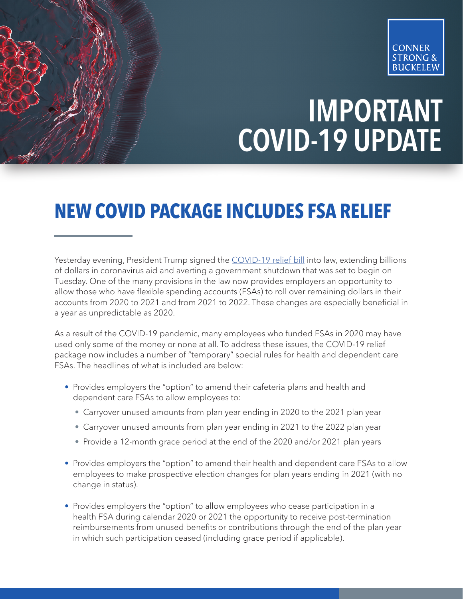

## IMPORTANT COVID-19 UPDATE

## **NEW COVID PACKAGE INCLUDES FSA RELIEF**

Yesterday evening, President Trump signed the [COVID-19 relief bill](https://rules.house.gov/sites/democrats.rules.house.gov/files/BILLS-116HR133SA-RCP-116-68.pdf?utm_medium=email&_hsmi=104580541&_hsenc=p2ANqtz-_bL8UDzTus3pBkDGhU2jf3uUg5FDZ0fTZC-FcNOsvfgz_3lKPMNcQzBtoyT1peDPCeb6Ye5YSddlEi0QxjwBe-yiEncisrzkUIzcaD_R-4KivSAx0&utm_content=104580541&utm_source=hs_email) into law, extending billions of dollars in coronavirus aid and averting a government shutdown that was set to begin on Tuesday. One of the many provisions in the law now provides employers an opportunity to allow those who have flexible spending accounts (FSAs) to roll over remaining dollars in their accounts from 2020 to 2021 and from 2021 to 2022. These changes are especially beneficial in a year as unpredictable as 2020.

As a result of the COVID-19 pandemic, many employees who funded FSAs in 2020 may have used only some of the money or none at all. To address these issues, the COVID-19 relief package now includes a number of "temporary" special rules for health and dependent care FSAs. The headlines of what is included are below:

- Provides employers the "option" to amend their cafeteria plans and health and dependent care FSAs to allow employees to:
	- Carryover unused amounts from plan year ending in 2020 to the 2021 plan year
	- Carryover unused amounts from plan year ending in 2021 to the 2022 plan year
	- Provide a 12-month grace period at the end of the 2020 and/or 2021 plan years
- Provides employers the "option" to amend their health and dependent care FSAs to allow employees to make prospective election changes for plan years ending in 2021 (with no change in status).
- Provides employers the "option" to allow employees who cease participation in a health FSA during calendar 2020 or 2021 the opportunity to receive post-termination reimbursements from unused benefits or contributions through the end of the plan year in which such participation ceased (including grace period if applicable).